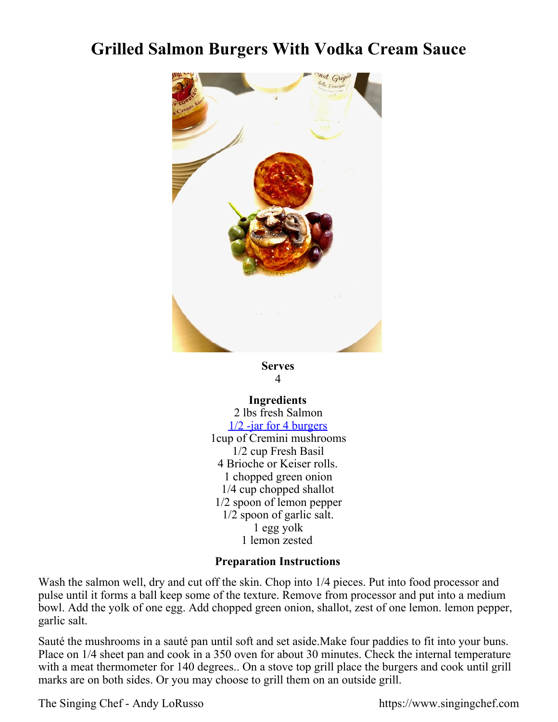## **Grilled Salmon Burgers With Vodka Cream Sauce**



## **Serves** 4

## **Ingredients** 2 lbs fresh Salmon [1/2 -jar for 4 burgers](https://singingchefstore-com.3dcartstores.com/Singing-Chef--Vodka-Cream-Sauce_p_14.html) 1cup of Cremini mushrooms 1/2 cup Fresh Basil 4 Brioche or Keiser rolls. 1 chopped green onion 1/4 cup chopped shallot 1/2 spoon of lemon pepper 1/2 spoon of garlic salt. 1 egg yolk 1 lemon zested

## **Preparation Instructions**

Wash the salmon well, dry and cut off the skin. Chop into 1/4 pieces. Put into food processor and pulse until it forms a ball keep some of the texture. Remove from processor and put into a medium bowl. Add the yolk of one egg. Add chopped green onion, shallot, zest of one lemon. lemon pepper, garlic salt.

Sauté the mushrooms in a sauté pan until soft and set aside.Make four paddies to fit into your buns. Place on 1/4 sheet pan and cook in a 350 oven for about 30 minutes. Check the internal temperature with a meat thermometer for 140 degrees.. On a stove top grill place the burgers and cook until grill marks are on both sides. Or you may choose to grill them on an outside grill.

The Singing Chef - Andy LoRusso https://www.singingchef.com